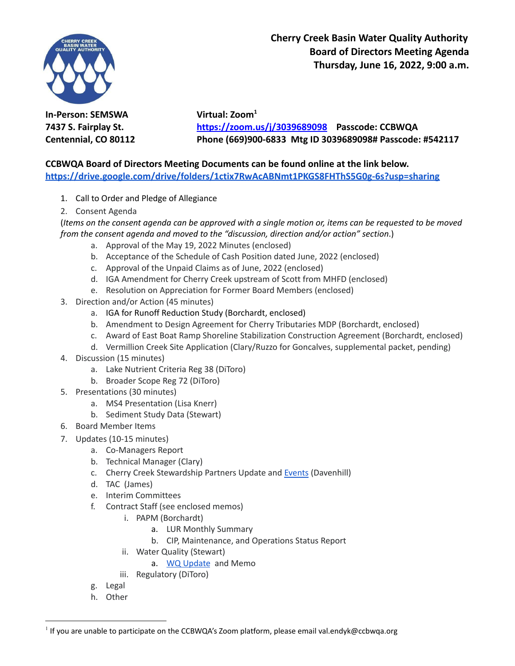

**Cherry Creek Basin Water Quality Authority Board of Directors Meeting Agenda Thursday, June 16, 2022, 9:00 a.m.**

**In-Person: SEMSWA Virtual: Zoom<sup>1</sup>**

**7437 S. Fairplay St. <https://zoom.us/j/3039689098> Passcode: CCBWQA Centennial, CO 80112 Phone (669)900-6833 Mtg ID 3039689098# Passcode: #542117**

## **CCBWQA Board of Directors Meeting Documents can be found online at the link below. <https://drive.google.com/drive/folders/1ctix7RwAcABNmt1PKGS8FHThS5G0g-6s?usp=sharing>**

- 1. Call to Order and Pledge of Allegiance
- 2. Consent Agenda

(Items on the consent agenda can be approved with a single motion or, items can be requested to be moved *from the consent agenda and moved to the "discussion, direction and/or action" section*.)

- a. Approval of the May 19, 2022 Minutes (enclosed)
- b. Acceptance of the Schedule of Cash Position dated June, 2022 (enclosed)
- c. Approval of the Unpaid Claims as of June, 2022 (enclosed)
- d. IGA Amendment for Cherry Creek upstream of Scott from MHFD (enclosed)
- e. Resolution on Appreciation for Former Board Members (enclosed)
- 3. Direction and/or Action (45 minutes)
	- a. IGA for Runoff Reduction Study (Borchardt, enclosed)
	- b. Amendment to Design Agreement for Cherry Tributaries MDP (Borchardt, enclosed)
	- c. Award of East Boat Ramp Shoreline Stabilization Construction Agreement (Borchardt, enclosed)
	- d. Vermillion Creek Site Application (Clary/Ruzzo for Goncalves, supplemental packet, pending)
- 4. Discussion (15 minutes)
	- a. Lake Nutrient Criteria Reg 38 (DiToro)
	- b. Broader Scope Reg 72 (DiToro)
- 5. Presentations (30 minutes)
	- a. MS4 Presentation (Lisa Knerr)
	- b. Sediment Study Data (Stewart)
- 6. Board Member Items
- 7. Updates (10-15 minutes)
	- a. Co-Managers Report
	- b. Technical Manager (Clary)
	- c. Cherry Creek Stewardship Partners Update and [Events](http://www.cherry-creek.org/events) (Davenhill)
	- d. TAC (James)
	- e. Interim Committees
	- f. Contract Staff (see enclosed memos)
		- i. PAPM (Borchardt)
			- a. LUR Monthly Summary
			- b. CIP, Maintenance, and Operations Status Report
		- ii. Water Quality (Stewart)
			- a. WQ [Update](https://www.ccbwqportal.org/wq-update/chlorophyll-a) and Memo
		- iii. Regulatory (DiToro)
	- g. Legal
	- h. Other

 $^1$  If you are unable to participate on the CCBWQA's Zoom platform, please email val.endyk@ccbwqa.org